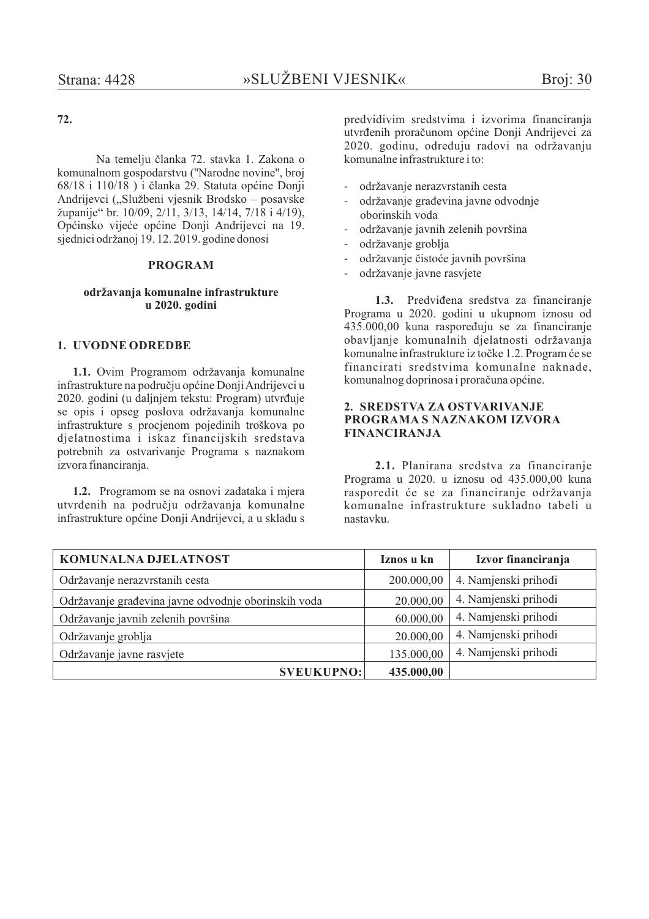# 72.

Na temelju članka 72. stavka 1. Zakona o komunalnom gospodarstvu ("Narodne novine", broj 68/18 i 110/18) i članka 29. Statuta općine Donji Andrijevci ("Službeni vjesnik Brodsko – posavske županije" br. 10/09, 2/11, 3/13, 14/14, 7/18 i 4/19), Općinsko vijeće općine Donji Andrijevci na 19. siednici održanoj 19. 12. 2019. godine donosi

# **PROGRAM**

### održavanja komunalne infrastrukture u 2020. godini

### 1. UVODNE ODREDBE

1.1. Ovim Programom održavanja komunalne infrastrukture na području općine Donji Andrijevci u 2020. godini (u daljnjem tekstu: Program) utvrđuje se opis i opseg poslova održavanja komunalne infrastrukture s procjenom pojedinih troškova po dielatnostima i iskaz financijskih sredstava potrebnih za ostvarivanje Programa s naznakom izvora financiranja.

1.2. Programom se na osnovi zadataka i mjera utvrđenih na području održavanja komunalne infrastrukture općine Donji Andrijevci, a u skladu s predvidivim sredstvima i izvorima financiranja utvrđenih proračunom općine Donji Andrijevci za 2020. godinu, određuju radovi na održavanju komunalne infrastrukture i to:

- održavanie nerazvrstanih cesta
- održavanje građevina javne odvodnje oborinskih voda
- održavanje javnih zelenih površina
- održavanje groblja
- održavanje čistoće javnih površina
- održavanje javne rasvjete

1.3. Predviđena sredstva za financiranie Programa u 2020. godini u ukupnom iznosu od 435.000,00 kuna raspoređuju se za financiranje obavljanje komunalnih djelatnosti održavanja komunalne infrastrukture iz točke 1.2. Program će se financirati sredstvima komunalne naknade, komunalnog doprinosa i proračuna općine.

### 2. SREDSTVA ZA OSTVARIVANJE PROGRAMA S NAZNAKOM IZVORA **FINANCIRANJA**

2.1. Planirana sredstva za financiranje Programa u 2020. u iznosu od 435.000,00 kuna rasporedit će se za financiranje održavanja komunalne infrastrukture sukladno tabeli u nastavku

| <b>KOMUNALNA DJELATNOST</b>                         | Iznos u kn | Izvor financiranja   |
|-----------------------------------------------------|------------|----------------------|
| Održavanje nerazvrstanih cesta                      | 200.000,00 | 4. Namjenski prihodi |
| Održavanje građevina javne odvodnje oborinskih voda | 20.000,00  | 4. Namjenski prihodi |
| Održavanje javnih zelenih površina                  | 60.000,00  | 4. Namjenski prihodi |
| Održavanje groblja                                  | 20.000,00  | 4. Namjenski prihodi |
| Održavanje javne rasvjete                           | 135.000,00 | 4. Namjenski prihodi |
| <b>SVEUKUPNO:</b>                                   | 435.000,00 |                      |